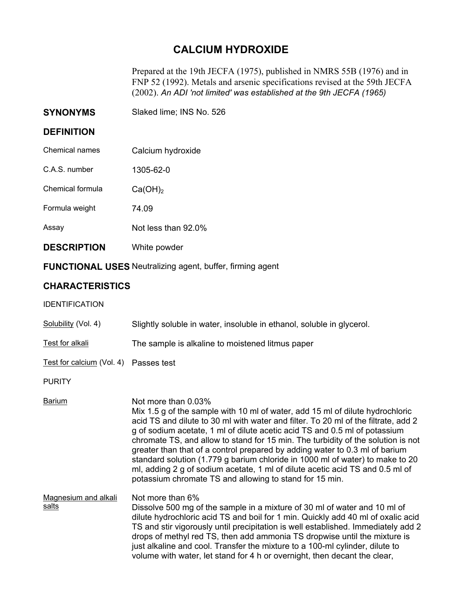## **CALCIUM HYDROXIDE**

Prepared at the 19th JECFA (1975), published in NMRS 55B (1976) and in FNP 52 (1992). Metals and arsenic specifications revised at the 59th JECFA (2002). *An ADI 'not limited' was established at the 9th JECFA (1965)* 

| <b>SYNONYMS</b> | Slaked lime; INS No. 526 |  |
|-----------------|--------------------------|--|
|-----------------|--------------------------|--|

## **DEFINITION**

| <b>DESCRIPTION</b> | White powder        |
|--------------------|---------------------|
| Assay              | Not less than 92.0% |
| Formula weight     | 74.09               |
| Chemical formula   | $Ca(OH)_2$          |
| C.A.S. number      | 1305-62-0           |
| Chemical names     | Calcium hydroxide   |

**FUNCTIONAL USES** Neutralizing agent, buffer, firming agent

## **CHARACTERISTICS**

| <b>IDENTIFICATION</b> |
|-----------------------|
|-----------------------|

| Slightly soluble in water, insoluble in ethanol, soluble in glycerol.                                                                                                                                                                                                                                                                                                                                                                                                                                                                                                                                                                                                    |
|--------------------------------------------------------------------------------------------------------------------------------------------------------------------------------------------------------------------------------------------------------------------------------------------------------------------------------------------------------------------------------------------------------------------------------------------------------------------------------------------------------------------------------------------------------------------------------------------------------------------------------------------------------------------------|
| The sample is alkaline to moistened litmus paper                                                                                                                                                                                                                                                                                                                                                                                                                                                                                                                                                                                                                         |
| Test for calcium (Vol. 4) Passes test                                                                                                                                                                                                                                                                                                                                                                                                                                                                                                                                                                                                                                    |
|                                                                                                                                                                                                                                                                                                                                                                                                                                                                                                                                                                                                                                                                          |
| Not more than 0.03%<br>Mix 1.5 g of the sample with 10 ml of water, add 15 ml of dilute hydrochloric<br>acid TS and dilute to 30 ml with water and filter. To 20 ml of the filtrate, add 2<br>g of sodium acetate, 1 ml of dilute acetic acid TS and 0.5 ml of potassium<br>chromate TS, and allow to stand for 15 min. The turbidity of the solution is not<br>greater than that of a control prepared by adding water to 0.3 ml of barium<br>standard solution (1.779 g barium chloride in 1000 ml of water) to make to 20<br>ml, adding 2 g of sodium acetate, 1 ml of dilute acetic acid TS and 0.5 ml of<br>potassium chromate TS and allowing to stand for 15 min. |
| Not more than 6%<br>Dissolve 500 mg of the sample in a mixture of 30 ml of water and 10 ml of<br>dilute hydrochloric acid TS and boil for 1 min. Quickly add 40 ml of oxalic acid<br>TS and stir vigorously until precipitation is well established. Immediately add 2<br>drops of methyl red TS, then add ammonia TS dropwise until the mixture is<br>just alkaline and cool. Transfer the mixture to a 100-ml cylinder, dilute to<br>volume with water, let stand for 4 h or overnight, then decant the clear,                                                                                                                                                         |
|                                                                                                                                                                                                                                                                                                                                                                                                                                                                                                                                                                                                                                                                          |